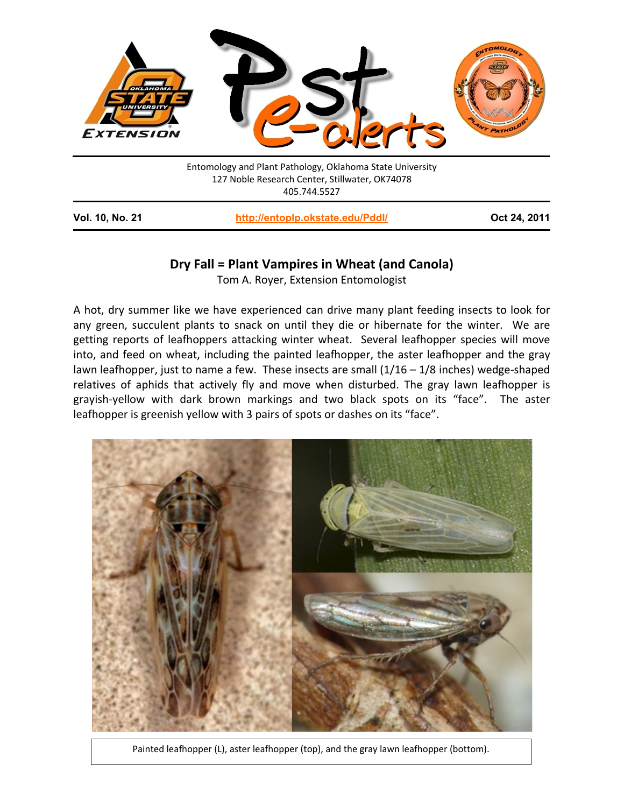

| <b>Vol. 10, No. 21</b> | http://entoplp.okstate.edu/Pddl/ | Oct 24, 2011 |
|------------------------|----------------------------------|--------------|
|------------------------|----------------------------------|--------------|

## **Dry Fall = Plant Vampires in Wheat (and Canola)**

Tom A. Royer, Extension Entomologist

A hot, dry summer like we have experienced can drive many plant feeding insects to look for any green, succulent plants to snack on until they die or hibernate for the winter. We are getting reports of leafhoppers attacking winter wheat. Several leafhopper species will move into, and feed on wheat, including the painted leafhopper, the aster leafhopper and the gray lawn leafhopper, just to name a few. These insects are small  $(1/16 - 1/8$  inches) wedge-shaped relatives of aphids that actively fly and move when disturbed. The gray lawn leafhopper is grayish-yellow with dark brown markings and two black spots on its "face". The aster leafhopper is greenish yellow with 3 pairs of spots or dashes on its "face".



Painted leafhopper (L), aster leafhopper (top), and the gray lawn leafhopper (bottom).